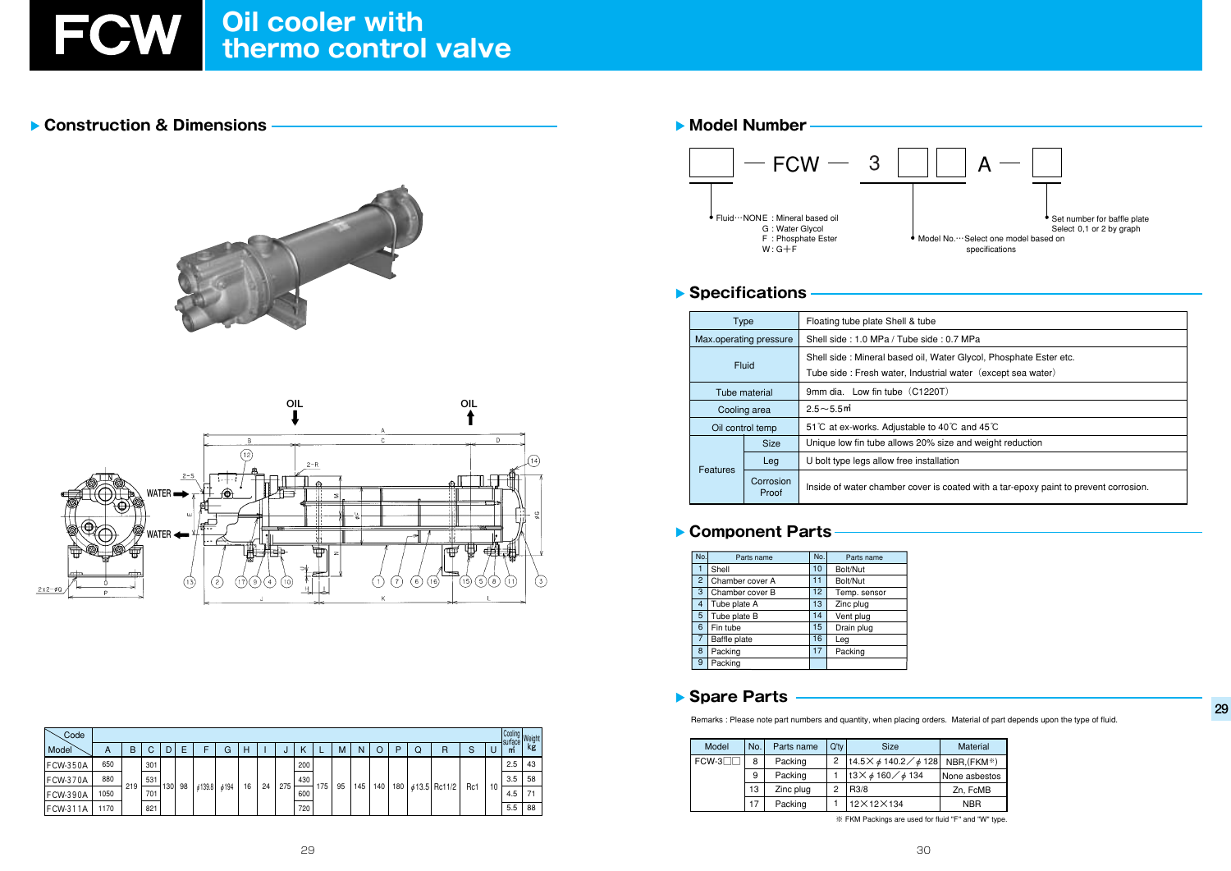# FCW Oil cooler with<br>thermo control valve

## Construction & Dimensions





| Code            |      |     |     |     |    |        |      |    |    |     |     |           | Cooling<br>surface<br>Weig |     |     |     |   |                    |     |    |                |    |
|-----------------|------|-----|-----|-----|----|--------|------|----|----|-----|-----|-----------|----------------------------|-----|-----|-----|---|--------------------|-----|----|----------------|----|
| Model           | A    | B   | ⌒   | D   | F  |        | G    | Н  |    |     |     |           | м                          | N   |     | D   | Q | R                  | ົ   | u  | surface  <br>m | k٤ |
| <b>FCW-350A</b> | 650  |     | 301 |     |    |        |      |    |    |     | 200 |           |                            |     |     |     |   |                    |     |    | 2.5            | 43 |
| FCW-370A        | 880  |     | 531 | 130 | 98 | 6139.8 | 6194 | 16 | 24 | 275 | 430 | 175<br>95 |                            |     |     |     |   | $\phi$ 13.5 Rc11/2 | Rc1 | 10 | 3.5            | 58 |
| <b>FCW-390A</b> | 1050 | 219 | 701 |     |    |        |      |    |    |     | 600 |           |                            | 145 | 140 | 180 |   |                    |     |    | 4.5            | 71 |
| <b>FCW-311A</b> | 1170 |     | 821 |     |    |        |      |    |    |     | 720 |           |                            |     |     |     |   |                    |     |    | 5.5            | 88 |

## Model Number  $-$  FCW  $-$ 3 Fluid ··· NONE : Mineral based oil G: Water Glycol  $F :$ Phosphate Ester<br>W: G+F

## Specifications

| Type            |                        | Floating tube plate Shell & tub                                 |  |  |  |  |  |
|-----------------|------------------------|-----------------------------------------------------------------|--|--|--|--|--|
|                 | Max.operating pressure | Shell side: 1.0 MPa / Tube sid                                  |  |  |  |  |  |
|                 | Fluid                  | Shell side: Mineral based oil,<br>Tube side: Fresh water, Indus |  |  |  |  |  |
|                 | Tube material          | 9mm dia. Low fin tube (C12)                                     |  |  |  |  |  |
|                 | Cooling area           | $2.5 - 5.5$ m                                                   |  |  |  |  |  |
|                 | Oil control temp       | 51 °C at ex-works. Adjustable to                                |  |  |  |  |  |
|                 | <b>Size</b>            | Unique low fin tube allows 209                                  |  |  |  |  |  |
|                 | Leg                    | U bolt type legs allow free inst                                |  |  |  |  |  |
| <b>Features</b> | Corrosion<br>Proof     | Inside of water chamber cover                                   |  |  |  |  |  |

## Component Parts

| No.            | Parts name      | No. | Parts name   |  |
|----------------|-----------------|-----|--------------|--|
|                | Shell           |     | Bolt/Nut     |  |
| $\overline{2}$ | Chamber cover A |     | Bolt/Nut     |  |
| 3              | Chamber cover B | 12  | Temp. sensor |  |
| 4              | Tube plate A    | 13  | Zinc plug    |  |
| 5              | Tube plate B    | 14  | Vent plug    |  |
| 6              | Fin tube        | 15  | Drain plug   |  |
| 7              | Baffle plate    | 16  | Leg          |  |
| 8              | Packing         | 17  | Packing      |  |
| 9              | Packing         |     |              |  |

#### Spare Parts

Remarks : Please note part numbers and quantity, when placing orders. Material of part depends upon the type of fluid.

| Model   | No. | Parts name | $Q'$ tv | <b>Size</b>                                                   | <b>Material</b> |  |  |
|---------|-----|------------|---------|---------------------------------------------------------------|-----------------|--|--|
| $FCW-3$ | 8   | Packing    | 2       | $\left  \frac{14.5}{6} \cancel{0} \right $ 140.2 / $\phi$ 128 | NBR, (FKM*)     |  |  |
|         | 9   | Packing    |         | $13 \times 6160 / 6134$                                       | l None asbestos |  |  |
|         | 13  | Zinc plug  | っ       | R <sub>3</sub> /8                                             | Zn, FcMB        |  |  |
|         |     | Packing    |         | 12×12×134                                                     | <b>NBR</b>      |  |  |

※ FKM Packings are used for fluid "F" and "W" type.



ide: 0.7 MPa

Water Glycol, Phosphate Ester etc.

strial water (except sea water)

220T)

to 40℃ and 45℃

% size and weight reduction

tallation

is coated with a tar-epoxy paint to prevent corrosion.

29